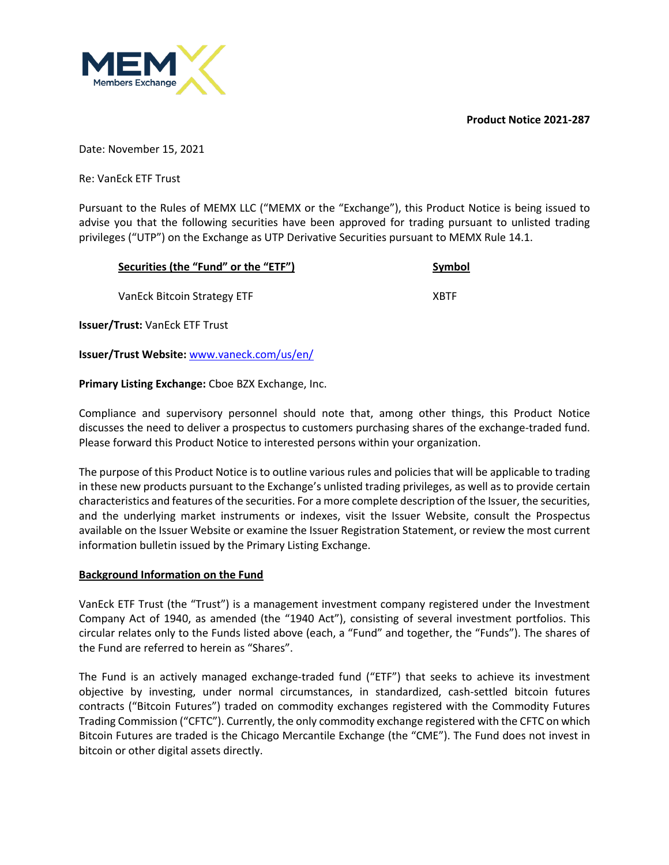**Product Notice 2021-287**



Date: November 15, 2021

Re: VanEck ETF Trust

Pursuant to the Rules of MEMX LLC ("MEMX or the "Exchange"), this Product Notice is being issued to advise you that the following securities have been approved for trading pursuant to unlisted trading privileges ("UTP") on the Exchange as UTP Derivative Securities pursuant to MEMX Rule 14.1.

| Securities (the "Fund" or the "ETF")  | Symbol      |
|---------------------------------------|-------------|
| VanEck Bitcoin Strategy ETF           | <b>XBTF</b> |
| <b>Issuer/Trust: VanEck ETF Trust</b> |             |

**Issuer/Trust Website:** www.vaneck.com/us/en/

**Primary Listing Exchange:** Cboe BZX Exchange, Inc.

Compliance and supervisory personnel should note that, among other things, this Product Notice discusses the need to deliver a prospectus to customers purchasing shares of the exchange-traded fund. Please forward this Product Notice to interested persons within your organization.

The purpose of this Product Notice is to outline various rules and policies that will be applicable to trading in these new products pursuant to the Exchange's unlisted trading privileges, as well as to provide certain characteristics and features of the securities. For a more complete description of the Issuer, the securities, and the underlying market instruments or indexes, visit the Issuer Website, consult the Prospectus available on the Issuer Website or examine the Issuer Registration Statement, or review the most current information bulletin issued by the Primary Listing Exchange.

## **Background Information on the Fund**

VanEck ETF Trust (the "Trust") is a management investment company registered under the Investment Company Act of 1940, as amended (the "1940 Act"), consisting of several investment portfolios. This circular relates only to the Funds listed above (each, a "Fund" and together, the "Funds"). The shares of the Fund are referred to herein as "Shares".

The Fund is an actively managed exchange-traded fund ("ETF") that seeks to achieve its investment objective by investing, under normal circumstances, in standardized, cash-settled bitcoin futures contracts ("Bitcoin Futures") traded on commodity exchanges registered with the Commodity Futures Trading Commission ("CFTC"). Currently, the only commodity exchange registered with the CFTC on which Bitcoin Futures are traded is the Chicago Mercantile Exchange (the "CME"). The Fund does not invest in bitcoin or other digital assets directly.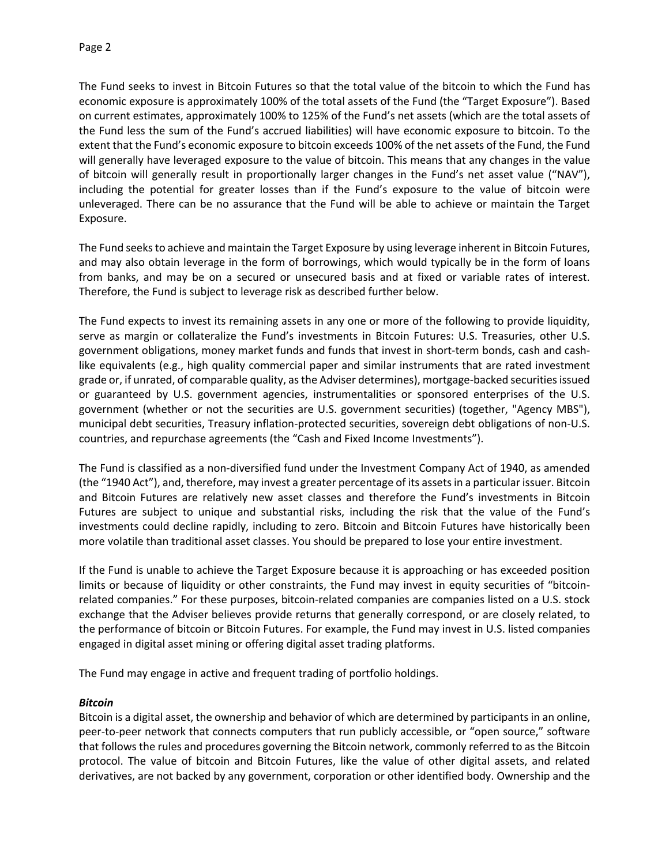The Fund seeks to invest in Bitcoin Futures so that the total value of the bitcoin to which the Fund has economic exposure is approximately 100% of the total assets of the Fund (the "Target Exposure"). Based on current estimates, approximately 100% to 125% of the Fund's net assets (which are the total assets of the Fund less the sum of the Fund's accrued liabilities) will have economic exposure to bitcoin. To the extent that the Fund's economic exposure to bitcoin exceeds 100% of the net assets of the Fund, the Fund will generally have leveraged exposure to the value of bitcoin. This means that any changes in the value of bitcoin will generally result in proportionally larger changes in the Fund's net asset value ("NAV"), including the potential for greater losses than if the Fund's exposure to the value of bitcoin were unleveraged. There can be no assurance that the Fund will be able to achieve or maintain the Target Exposure.

The Fund seeks to achieve and maintain the Target Exposure by using leverage inherent in Bitcoin Futures, and may also obtain leverage in the form of borrowings, which would typically be in the form of loans from banks, and may be on a secured or unsecured basis and at fixed or variable rates of interest. Therefore, the Fund is subject to leverage risk as described further below.

The Fund expects to invest its remaining assets in any one or more of the following to provide liquidity, serve as margin or collateralize the Fund's investments in Bitcoin Futures: U.S. Treasuries, other U.S. government obligations, money market funds and funds that invest in short-term bonds, cash and cashlike equivalents (e.g., high quality commercial paper and similar instruments that are rated investment grade or, if unrated, of comparable quality, as the Adviser determines), mortgage-backed securities issued or guaranteed by U.S. government agencies, instrumentalities or sponsored enterprises of the U.S. government (whether or not the securities are U.S. government securities) (together, "Agency MBS"), municipal debt securities, Treasury inflation-protected securities, sovereign debt obligations of non-U.S. countries, and repurchase agreements (the "Cash and Fixed Income Investments").

The Fund is classified as a non-diversified fund under the Investment Company Act of 1940, as amended (the "1940 Act"), and, therefore, may invest a greater percentage of its assets in a particular issuer. Bitcoin and Bitcoin Futures are relatively new asset classes and therefore the Fund's investments in Bitcoin Futures are subject to unique and substantial risks, including the risk that the value of the Fund's investments could decline rapidly, including to zero. Bitcoin and Bitcoin Futures have historically been more volatile than traditional asset classes. You should be prepared to lose your entire investment.

If the Fund is unable to achieve the Target Exposure because it is approaching or has exceeded position limits or because of liquidity or other constraints, the Fund may invest in equity securities of "bitcoinrelated companies." For these purposes, bitcoin-related companies are companies listed on a U.S. stock exchange that the Adviser believes provide returns that generally correspond, or are closely related, to the performance of bitcoin or Bitcoin Futures. For example, the Fund may invest in U.S. listed companies engaged in digital asset mining or offering digital asset trading platforms.

The Fund may engage in active and frequent trading of portfolio holdings.

## *Bitcoin*

Bitcoin is a digital asset, the ownership and behavior of which are determined by participants in an online, peer-to-peer network that connects computers that run publicly accessible, or "open source," software that follows the rules and procedures governing the Bitcoin network, commonly referred to as the Bitcoin protocol. The value of bitcoin and Bitcoin Futures, like the value of other digital assets, and related derivatives, are not backed by any government, corporation or other identified body. Ownership and the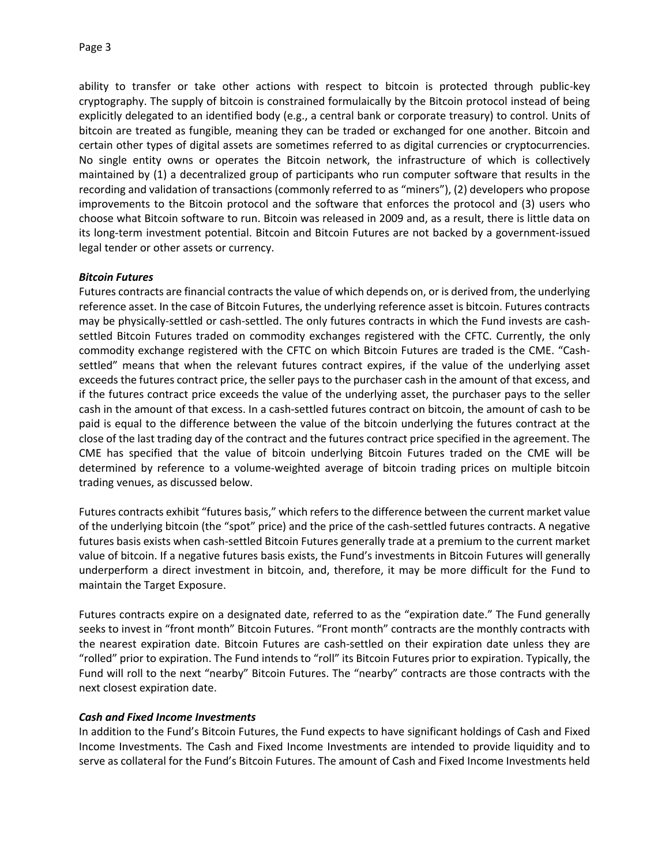ability to transfer or take other actions with respect to bitcoin is protected through public-key cryptography. The supply of bitcoin is constrained formulaically by the Bitcoin protocol instead of being explicitly delegated to an identified body (e.g., a central bank or corporate treasury) to control. Units of bitcoin are treated as fungible, meaning they can be traded or exchanged for one another. Bitcoin and certain other types of digital assets are sometimes referred to as digital currencies or cryptocurrencies. No single entity owns or operates the Bitcoin network, the infrastructure of which is collectively maintained by (1) a decentralized group of participants who run computer software that results in the recording and validation of transactions (commonly referred to as "miners"), (2) developers who propose improvements to the Bitcoin protocol and the software that enforces the protocol and (3) users who choose what Bitcoin software to run. Bitcoin was released in 2009 and, as a result, there is little data on its long-term investment potential. Bitcoin and Bitcoin Futures are not backed by a government-issued legal tender or other assets or currency.

## *Bitcoin Futures*

Futures contracts are financial contracts the value of which depends on, or is derived from, the underlying reference asset. In the case of Bitcoin Futures, the underlying reference asset is bitcoin. Futures contracts may be physically-settled or cash-settled. The only futures contracts in which the Fund invests are cashsettled Bitcoin Futures traded on commodity exchanges registered with the CFTC. Currently, the only commodity exchange registered with the CFTC on which Bitcoin Futures are traded is the CME. "Cashsettled" means that when the relevant futures contract expires, if the value of the underlying asset exceeds the futures contract price, the seller pays to the purchaser cash in the amount of that excess, and if the futures contract price exceeds the value of the underlying asset, the purchaser pays to the seller cash in the amount of that excess. In a cash-settled futures contract on bitcoin, the amount of cash to be paid is equal to the difference between the value of the bitcoin underlying the futures contract at the close of the last trading day of the contract and the futures contract price specified in the agreement. The CME has specified that the value of bitcoin underlying Bitcoin Futures traded on the CME will be determined by reference to a volume-weighted average of bitcoin trading prices on multiple bitcoin trading venues, as discussed below.

Futures contracts exhibit "futures basis," which refers to the difference between the current market value of the underlying bitcoin (the "spot" price) and the price of the cash-settled futures contracts. A negative futures basis exists when cash-settled Bitcoin Futures generally trade at a premium to the current market value of bitcoin. If a negative futures basis exists, the Fund's investments in Bitcoin Futures will generally underperform a direct investment in bitcoin, and, therefore, it may be more difficult for the Fund to maintain the Target Exposure.

Futures contracts expire on a designated date, referred to as the "expiration date." The Fund generally seeks to invest in "front month" Bitcoin Futures. "Front month" contracts are the monthly contracts with the nearest expiration date. Bitcoin Futures are cash-settled on their expiration date unless they are "rolled" prior to expiration. The Fund intends to "roll" its Bitcoin Futures prior to expiration. Typically, the Fund will roll to the next "nearby" Bitcoin Futures. The "nearby" contracts are those contracts with the next closest expiration date.

## *Cash and Fixed Income Investments*

In addition to the Fund's Bitcoin Futures, the Fund expects to have significant holdings of Cash and Fixed Income Investments. The Cash and Fixed Income Investments are intended to provide liquidity and to serve as collateral for the Fund's Bitcoin Futures. The amount of Cash and Fixed Income Investments held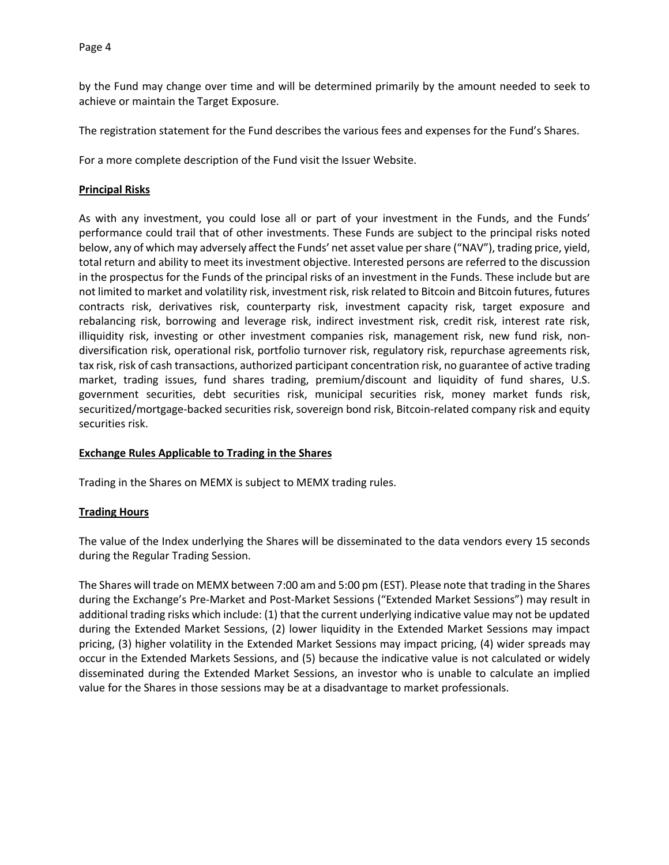by the Fund may change over time and will be determined primarily by the amount needed to seek to achieve or maintain the Target Exposure.

The registration statement for the Fund describes the various fees and expenses for the Fund's Shares.

For a more complete description of the Fund visit the Issuer Website.

### **Principal Risks**

As with any investment, you could lose all or part of your investment in the Funds, and the Funds' performance could trail that of other investments. These Funds are subject to the principal risks noted below, any of which may adversely affect the Funds' net asset value per share ("NAV"), trading price, yield, total return and ability to meet its investment objective. Interested persons are referred to the discussion in the prospectus for the Funds of the principal risks of an investment in the Funds. These include but are not limited to market and volatility risk, investment risk, risk related to Bitcoin and Bitcoin futures, futures contracts risk, derivatives risk, counterparty risk, investment capacity risk, target exposure and rebalancing risk, borrowing and leverage risk, indirect investment risk, credit risk, interest rate risk, illiquidity risk, investing or other investment companies risk, management risk, new fund risk, nondiversification risk, operational risk, portfolio turnover risk, regulatory risk, repurchase agreements risk, tax risk, risk of cash transactions, authorized participant concentration risk, no guarantee of active trading market, trading issues, fund shares trading, premium/discount and liquidity of fund shares, U.S. government securities, debt securities risk, municipal securities risk, money market funds risk, securitized/mortgage-backed securities risk, sovereign bond risk, Bitcoin-related company risk and equity securities risk.

## **Exchange Rules Applicable to Trading in the Shares**

Trading in the Shares on MEMX is subject to MEMX trading rules.

## **Trading Hours**

The value of the Index underlying the Shares will be disseminated to the data vendors every 15 seconds during the Regular Trading Session.

The Shares will trade on MEMX between 7:00 am and 5:00 pm (EST). Please note that trading in the Shares during the Exchange's Pre-Market and Post-Market Sessions ("Extended Market Sessions") may result in additional trading risks which include: (1) that the current underlying indicative value may not be updated during the Extended Market Sessions, (2) lower liquidity in the Extended Market Sessions may impact pricing, (3) higher volatility in the Extended Market Sessions may impact pricing, (4) wider spreads may occur in the Extended Markets Sessions, and (5) because the indicative value is not calculated or widely disseminated during the Extended Market Sessions, an investor who is unable to calculate an implied value for the Shares in those sessions may be at a disadvantage to market professionals.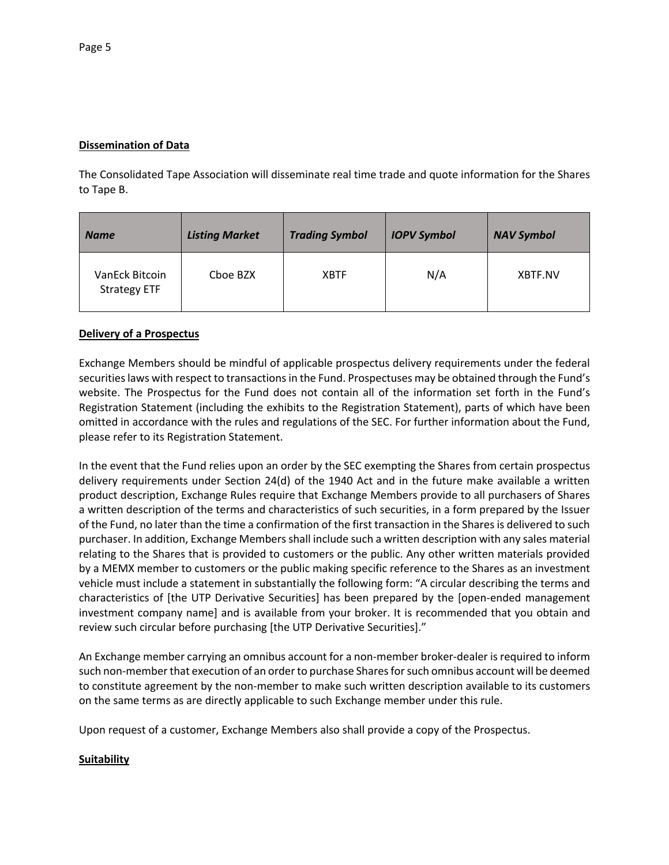## **Dissemination of Data**

The Consolidated Tape Association will disseminate real time trade and quote information for the Shares to Tape B.

| <b>Name</b>                           | <b>Listing Market</b> | <b>Trading Symbol</b> | <b>IOPV Symbol</b> | <b>NAV Symbol</b> |
|---------------------------------------|-----------------------|-----------------------|--------------------|-------------------|
| VanEck Bitcoin<br><b>Strategy ETF</b> | Cboe BZX              | <b>XBTF</b>           | N/A                | XBTF.NV           |

# **Delivery of a Prospectus**

Exchange Members should be mindful of applicable prospectus delivery requirements under the federal securities laws with respect to transactions in the Fund. Prospectuses may be obtained through the Fund's website. The Prospectus for the Fund does not contain all of the information set forth in the Fund's Registration Statement (including the exhibits to the Registration Statement), parts of which have been omitted in accordance with the rules and regulations of the SEC. For further information about the Fund, please refer to its Registration Statement.

In the event that the Fund relies upon an order by the SEC exempting the Shares from certain prospectus delivery requirements under Section 24(d) of the 1940 Act and in the future make available a written product description, Exchange Rules require that Exchange Members provide to all purchasers of Shares a written description of the terms and characteristics of such securities, in a form prepared by the Issuer of the Fund, no later than the time a confirmation of the first transaction in the Shares is delivered to such purchaser. In addition, Exchange Members shall include such a written description with any sales material relating to the Shares that is provided to customers or the public. Any other written materials provided by a MEMX member to customers or the public making specific reference to the Shares as an investment vehicle must include a statement in substantially the following form: "A circular describing the terms and characteristics of [the UTP Derivative Securities] has been prepared by the [open-ended management investment company name] and is available from your broker. It is recommended that you obtain and review such circular before purchasing [the UTP Derivative Securities]."

An Exchange member carrying an omnibus account for a non-member broker-dealer is required to inform such non-member that execution of an order to purchase Shares for such omnibus account will be deemed to constitute agreement by the non-member to make such written description available to its customers on the same terms as are directly applicable to such Exchange member under this rule.

Upon request of a customer, Exchange Members also shall provide a copy of the Prospectus.

# **Suitability**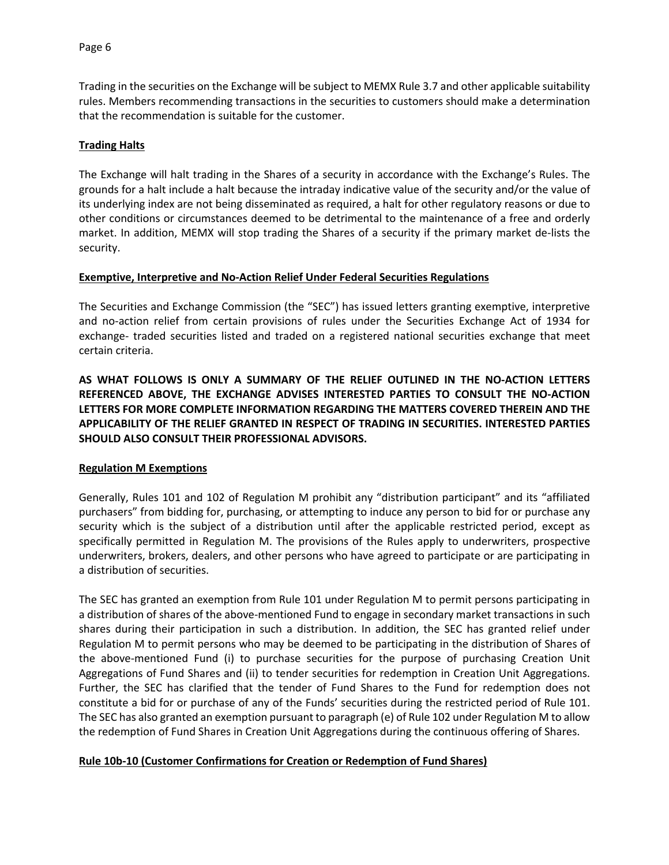Trading in the securities on the Exchange will be subject to MEMX Rule 3.7 and other applicable suitability rules. Members recommending transactions in the securities to customers should make a determination that the recommendation is suitable for the customer.

### **Trading Halts**

The Exchange will halt trading in the Shares of a security in accordance with the Exchange's Rules. The grounds for a halt include a halt because the intraday indicative value of the security and/or the value of its underlying index are not being disseminated as required, a halt for other regulatory reasons or due to other conditions or circumstances deemed to be detrimental to the maintenance of a free and orderly market. In addition, MEMX will stop trading the Shares of a security if the primary market de-lists the security.

### **Exemptive, Interpretive and No-Action Relief Under Federal Securities Regulations**

The Securities and Exchange Commission (the "SEC") has issued letters granting exemptive, interpretive and no-action relief from certain provisions of rules under the Securities Exchange Act of 1934 for exchange- traded securities listed and traded on a registered national securities exchange that meet certain criteria.

**AS WHAT FOLLOWS IS ONLY A SUMMARY OF THE RELIEF OUTLINED IN THE NO-ACTION LETTERS REFERENCED ABOVE, THE EXCHANGE ADVISES INTERESTED PARTIES TO CONSULT THE NO-ACTION LETTERS FOR MORE COMPLETE INFORMATION REGARDING THE MATTERS COVERED THEREIN AND THE APPLICABILITY OF THE RELIEF GRANTED IN RESPECT OF TRADING IN SECURITIES. INTERESTED PARTIES SHOULD ALSO CONSULT THEIR PROFESSIONAL ADVISORS.**

#### **Regulation M Exemptions**

Generally, Rules 101 and 102 of Regulation M prohibit any "distribution participant" and its "affiliated purchasers" from bidding for, purchasing, or attempting to induce any person to bid for or purchase any security which is the subject of a distribution until after the applicable restricted period, except as specifically permitted in Regulation M. The provisions of the Rules apply to underwriters, prospective underwriters, brokers, dealers, and other persons who have agreed to participate or are participating in a distribution of securities.

The SEC has granted an exemption from Rule 101 under Regulation M to permit persons participating in a distribution of shares of the above-mentioned Fund to engage in secondary market transactions in such shares during their participation in such a distribution. In addition, the SEC has granted relief under Regulation M to permit persons who may be deemed to be participating in the distribution of Shares of the above-mentioned Fund (i) to purchase securities for the purpose of purchasing Creation Unit Aggregations of Fund Shares and (ii) to tender securities for redemption in Creation Unit Aggregations. Further, the SEC has clarified that the tender of Fund Shares to the Fund for redemption does not constitute a bid for or purchase of any of the Funds' securities during the restricted period of Rule 101. The SEC has also granted an exemption pursuant to paragraph (e) of Rule 102 under Regulation M to allow the redemption of Fund Shares in Creation Unit Aggregations during the continuous offering of Shares.

#### **Rule 10b-10 (Customer Confirmations for Creation or Redemption of Fund Shares)**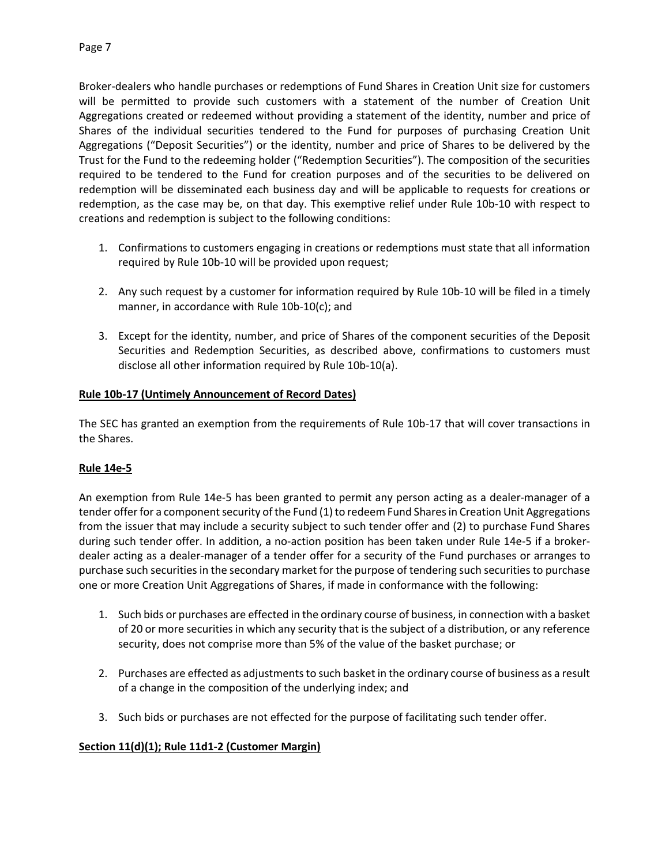Broker-dealers who handle purchases or redemptions of Fund Shares in Creation Unit size for customers will be permitted to provide such customers with a statement of the number of Creation Unit Aggregations created or redeemed without providing a statement of the identity, number and price of Shares of the individual securities tendered to the Fund for purposes of purchasing Creation Unit Aggregations ("Deposit Securities") or the identity, number and price of Shares to be delivered by the Trust for the Fund to the redeeming holder ("Redemption Securities"). The composition of the securities required to be tendered to the Fund for creation purposes and of the securities to be delivered on redemption will be disseminated each business day and will be applicable to requests for creations or redemption, as the case may be, on that day. This exemptive relief under Rule 10b-10 with respect to creations and redemption is subject to the following conditions:

- 1. Confirmations to customers engaging in creations or redemptions must state that all information required by Rule 10b-10 will be provided upon request;
- 2. Any such request by a customer for information required by Rule 10b-10 will be filed in a timely manner, in accordance with Rule 10b-10(c); and
- 3. Except for the identity, number, and price of Shares of the component securities of the Deposit Securities and Redemption Securities, as described above, confirmations to customers must disclose all other information required by Rule 10b-10(a).

# **Rule 10b-17 (Untimely Announcement of Record Dates)**

The SEC has granted an exemption from the requirements of Rule 10b-17 that will cover transactions in the Shares.

## **Rule 14e-5**

An exemption from Rule 14e-5 has been granted to permit any person acting as a dealer-manager of a tender offer for a component security of the Fund (1) to redeem Fund Shares in Creation Unit Aggregations from the issuer that may include a security subject to such tender offer and (2) to purchase Fund Shares during such tender offer. In addition, a no-action position has been taken under Rule 14e-5 if a brokerdealer acting as a dealer-manager of a tender offer for a security of the Fund purchases or arranges to purchase such securities in the secondary market for the purpose of tendering such securities to purchase one or more Creation Unit Aggregations of Shares, if made in conformance with the following:

- 1. Such bids or purchases are effected in the ordinary course of business, in connection with a basket of 20 or more securities in which any security that is the subject of a distribution, or any reference security, does not comprise more than 5% of the value of the basket purchase; or
- 2. Purchases are effected as adjustments to such basket in the ordinary course of business as a result of a change in the composition of the underlying index; and
- 3. Such bids or purchases are not effected for the purpose of facilitating such tender offer.

## **Section 11(d)(1); Rule 11d1-2 (Customer Margin)**